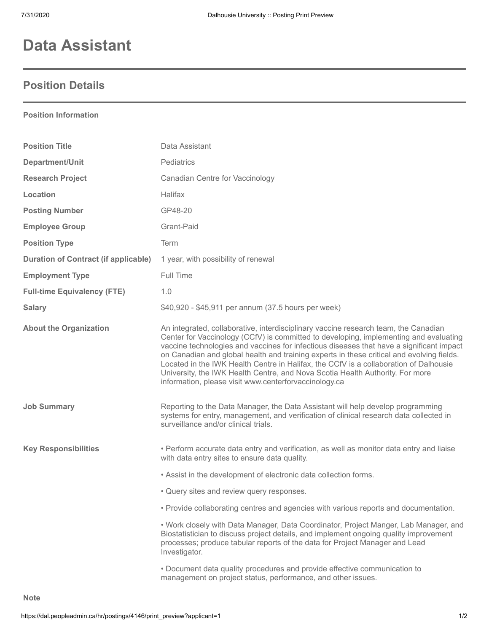## **Data Assistant**

## **Position Details**

**Position Information**

| <b>Position Title</b>                       | Data Assistant                                                                                                                                                                                                                                                                                                                                                                                                                                                                                                                                                                                           |
|---------------------------------------------|----------------------------------------------------------------------------------------------------------------------------------------------------------------------------------------------------------------------------------------------------------------------------------------------------------------------------------------------------------------------------------------------------------------------------------------------------------------------------------------------------------------------------------------------------------------------------------------------------------|
| Department/Unit                             | Pediatrics                                                                                                                                                                                                                                                                                                                                                                                                                                                                                                                                                                                               |
| <b>Research Project</b>                     | <b>Canadian Centre for Vaccinology</b>                                                                                                                                                                                                                                                                                                                                                                                                                                                                                                                                                                   |
| Location                                    | <b>Halifax</b>                                                                                                                                                                                                                                                                                                                                                                                                                                                                                                                                                                                           |
| <b>Posting Number</b>                       | GP48-20                                                                                                                                                                                                                                                                                                                                                                                                                                                                                                                                                                                                  |
| <b>Employee Group</b>                       | Grant-Paid                                                                                                                                                                                                                                                                                                                                                                                                                                                                                                                                                                                               |
| <b>Position Type</b>                        | Term                                                                                                                                                                                                                                                                                                                                                                                                                                                                                                                                                                                                     |
| <b>Duration of Contract (if applicable)</b> | 1 year, with possibility of renewal                                                                                                                                                                                                                                                                                                                                                                                                                                                                                                                                                                      |
| <b>Employment Type</b>                      | Full Time                                                                                                                                                                                                                                                                                                                                                                                                                                                                                                                                                                                                |
| <b>Full-time Equivalency (FTE)</b>          | 1.0                                                                                                                                                                                                                                                                                                                                                                                                                                                                                                                                                                                                      |
| <b>Salary</b>                               | \$40,920 - \$45,911 per annum (37.5 hours per week)                                                                                                                                                                                                                                                                                                                                                                                                                                                                                                                                                      |
| <b>About the Organization</b>               | An integrated, collaborative, interdisciplinary vaccine research team, the Canadian<br>Center for Vaccinology (CCfV) is committed to developing, implementing and evaluating<br>vaccine technologies and vaccines for infectious diseases that have a significant impact<br>on Canadian and global health and training experts in these critical and evolving fields.<br>Located in the IWK Health Centre in Halifax, the CCfV is a collaboration of Dalhousie<br>University, the IWK Health Centre, and Nova Scotia Health Authority. For more<br>information, please visit www.centerforvaccinology.ca |
| <b>Job Summary</b>                          | Reporting to the Data Manager, the Data Assistant will help develop programming<br>systems for entry, management, and verification of clinical research data collected in<br>surveillance and/or clinical trials.                                                                                                                                                                                                                                                                                                                                                                                        |
| <b>Key Responsibilities</b>                 | • Perform accurate data entry and verification, as well as monitor data entry and liaise<br>with data entry sites to ensure data quality.                                                                                                                                                                                                                                                                                                                                                                                                                                                                |
|                                             | . Assist in the development of electronic data collection forms.                                                                                                                                                                                                                                                                                                                                                                                                                                                                                                                                         |
|                                             | • Query sites and review query responses.                                                                                                                                                                                                                                                                                                                                                                                                                                                                                                                                                                |
|                                             | • Provide collaborating centres and agencies with various reports and documentation.                                                                                                                                                                                                                                                                                                                                                                                                                                                                                                                     |
|                                             | • Work closely with Data Manager, Data Coordinator, Project Manger, Lab Manager, and<br>Biostatistician to discuss project details, and implement ongoing quality improvement<br>processes; produce tabular reports of the data for Project Manager and Lead<br>Investigator.                                                                                                                                                                                                                                                                                                                            |
|                                             | . Document data quality procedures and provide effective communication to<br>management on project status, performance, and other issues.                                                                                                                                                                                                                                                                                                                                                                                                                                                                |